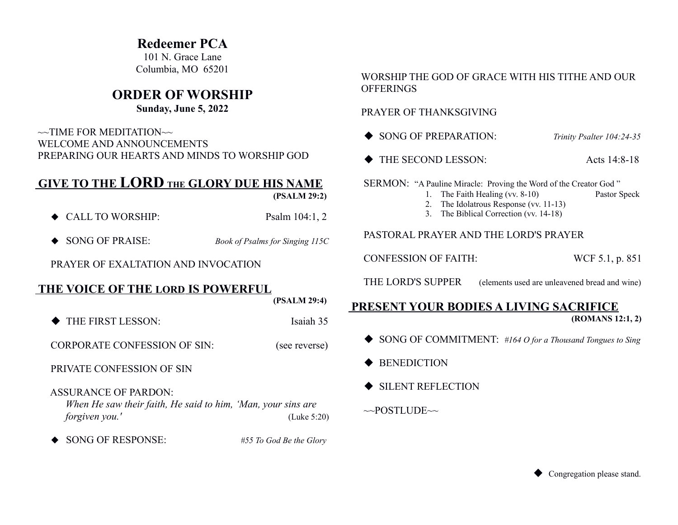### **Redeemer PCA**

101 N. Grace Lane Columbia, MO 65201

## **ORDER OF WORSHIP**

### **Sunday, June 5, 2022**

 $\sim$ TIME FOR MEDITATION $\sim$  WELCOME AND ANNOUNCEMENTS PREPARING OUR HEARTS AND MINDS TO WORSHIP GOD

# **GIVE TO THE LORD THE GLORY DUE HIS NAME**

 **(PSALM 29:2)**

- ◆ CALL TO WORSHIP: Psalm 104:1, 2
- ◆ SONG OF PRAISE: *Book of Psalms for Singing 115C*

PRAYER OF EXALTATION AND INVOCATION

### **THE VOICE OF THE LORD IS POWERFUL**

 **(PSALM 29:4)**

THE FIRST LESSON: Isaiah 35

CORPORATE CONFESSION OF SIN: (see reverse)

PRIVATE CONFESSION OF SIN

ASSURANCE OF PARDON:

*When He saw their faith, He said to him, 'Man, your sins are forgiven you.'* (Luke 5:20)

◆ SONG OF RESPONSE: *#55 To God Be the Glory* 

#### WORSHIP THE GOD OF GRACE WITH HIS TITHE AND OUR **OFFERINGS**

### PRAYER OF THANKSGIVING

- ◆ SONG OF PREPARATION: *Trinity Psalter 104:24-35*
- ◆ THE SECOND LESSON: Acts 14:8-18

SERMON: "A Pauline Miracle: Proving the Word of the Creator God"

- 1. The Faith Healing (vv. 8-10) Pastor Speck
- 2. The Idolatrous Response (vv. 11-13)
- 3. The Biblical Correction (vv. 14-18)

### PASTORAL PRAYER AND THE LORD'S PRAYER

CONFESSION OF FAITH: WCF 5.1, p. 851

THE LORD'S SUPPER (elements used are unleavened bread and wine)

#### **PRESENT YOUR BODIES A LIVING SACRIFICE (ROMANS 12:1, 2)**

- SONG OF COMMITMENT: *#164 O for a Thousand Tongues to Sing*
- $\triangle$  BENEDICTION
- $\blacklozenge$  SILENT REFLECTION

 $\sim$ POSTLUDE $\sim$